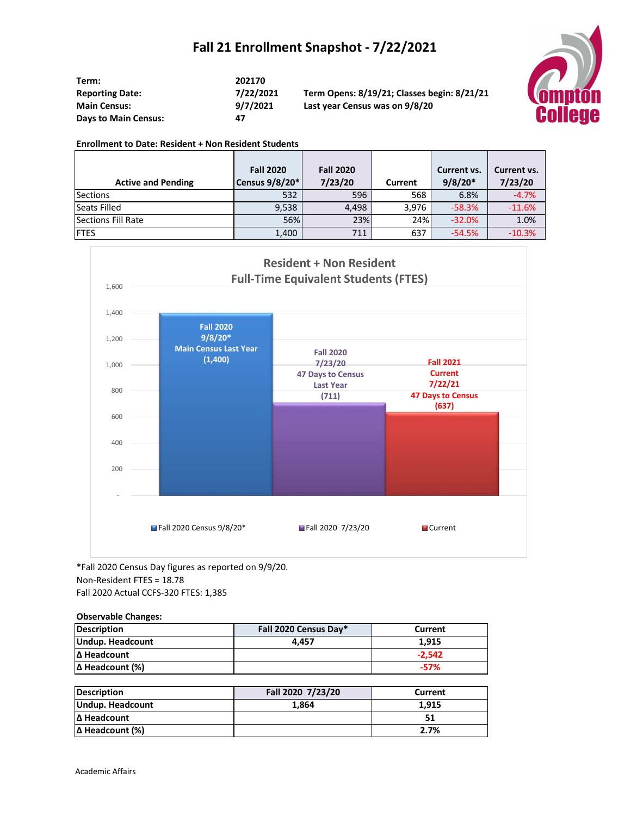## **Fall 21 Enrollment Snapshot - 7/22/2021**

| Term:                       | 202170  |
|-----------------------------|---------|
| <b>Reporting Date:</b>      | 7/22/20 |
| <b>Main Census:</b>         | 9/7/202 |
| <b>Days to Main Census:</b> | 47      |

**Reporting Date: 7/22/2021 Term Opens: 8/19/21; Classes begin: 8/21/21 Main Census: 9/7/2021 Last year Census was on 9/8/20**



## **Enrollment to Date: Resident + Non Resident Students**

|                           | <b>Fall 2020</b> | <b>Fall 2020</b> |         | Current vs. | Current vs. |
|---------------------------|------------------|------------------|---------|-------------|-------------|
| <b>Active and Pending</b> | Census 9/8/20*   | 7/23/20          | Current | $9/8/20*$   | 7/23/20     |
| <b>Sections</b>           | 532              | 596              | 568     | 6.8%        | $-4.7%$     |
| Seats Filled              | 9,538            | 4.498            | 3.976   | $-58.3%$    | $-11.6%$    |
| Sections Fill Rate        | 56%              | 23%              | 24%     | $-32.0%$    | 1.0%        |
| <b>FTES</b>               | 1,400            | 711              | 637     | $-54.5%$    | $-10.3%$    |



\*Fall 2020 Census Day figures as reported on 9/9/20. Non-Resident FTES = 18.78 Fall 2020 Actual CCFS-320 FTES: 1,385

## **Observable Changes:**

| Description             | Fall 2020 Census Day* | Current  |
|-------------------------|-----------------------|----------|
| <b>Undup. Headcount</b> | 4.457                 | 1.915    |
| Δ Headcount             |                       | $-2.542$ |
| $ \Delta$ Headcount (%) |                       | $-57%$   |

| <b>Description</b>     | Fall 2020 7/23/20 | Current |
|------------------------|-------------------|---------|
| Undup. Headcount       | 1.864             | 1.915   |
| Δ Headcount            |                   |         |
| $\Delta$ Headcount (%) |                   | 2.7%    |